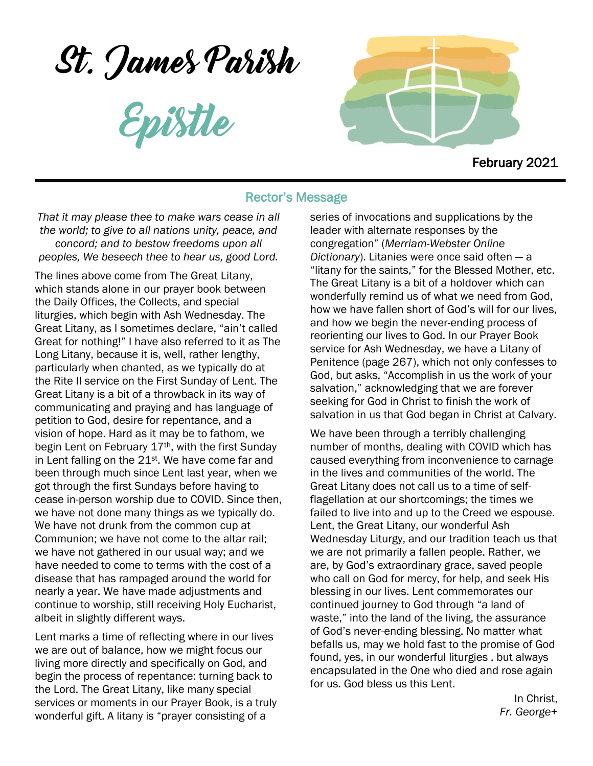St. James Parish

Epistle



February 2021

## Rector's Message

*That it may please thee to make wars cease in all the world; to give to all nations unity, peace, and concord; and to bestow freedoms upon all peoples, We beseech thee to hear us, good Lord.*

The lines above come from The Great Litany, which stands alone in our prayer book between the Daily Offices, the Collects, and special liturgies, which begin with Ash Wednesday. The Great Litany, as I sometimes declare, "ain't called Great for nothing!" I have also referred to it as The Long Litany, because it is, well, rather lengthy, particularly when chanted, as we typically do at the Rite II service on the First Sunday of Lent. The Great Litany is a bit of a throwback in its way of communicating and praying and has language of petition to God, desire for repentance, and a vision of hope. Hard as it may be to fathom, we begin Lent on February 17<sup>th</sup>, with the first Sunday in Lent falling on the  $21<sup>st</sup>$ . We have come far and been through much since Lent last year, when we got through the first Sundays before having to cease in-person worship due to COVID. Since then, we have not done many things as we typically do. We have not drunk from the common cup at Communion; we have not come to the altar rail; we have not gathered in our usual way; and we have needed to come to terms with the cost of a disease that has rampaged around the world for nearly a year. We have made adjustments and continue to worship, still receiving Holy Eucharist, albeit in slightly different ways.

Lent marks a time of reflecting where in our lives we are out of balance, how we might focus our living more directly and specifically on God, and begin the process of repentance: turning back to the Lord. The Great Litany, like many special services or moments in our Prayer Book, is a truly wonderful gift. A litany is "prayer consisting of a

series of invocations and supplications by the leader with alternate responses by the congregation" (*Merriam-Webster Online Dictionary*). Litanies were once said often — a "litany for the saints," for the Blessed Mother, etc. The Great Litany is a bit of a holdover which can wonderfully remind us of what we need from God, how we have fallen short of God's will for our lives, and how we begin the never-ending process of reorienting our lives to God. In our Prayer Book service for Ash Wednesday, we have a Litany of Penitence (page 267), which not only confesses to God, but asks, "Accomplish in us the work of your salvation," acknowledging that we are forever seeking for God in Christ to finish the work of salvation in us that God began in Christ at Calvary.

We have been through a terribly challenging number of months, dealing with COVID which has caused everything from inconvenience to carnage in the lives and communities of the world. The Great Litany does not call us to a time of selfflagellation at our shortcomings; the times we failed to live into and up to the Creed we espouse. Lent, the Great Litany, our wonderful Ash Wednesday Liturgy, and our tradition teach us that we are not primarily a fallen people. Rather, we are, by God's extraordinary grace, saved people who call on God for mercy, for help, and seek His blessing in our lives. Lent commemorates our continued journey to God through "a land of waste," into the land of the living, the assurance of God's never-ending blessing. No matter what befalls us, may we hold fast to the promise of God found, yes, in our wonderful liturgies , but always encapsulated in the One who died and rose again for us. God bless us this Lent.

> In Christ, *Fr. George*+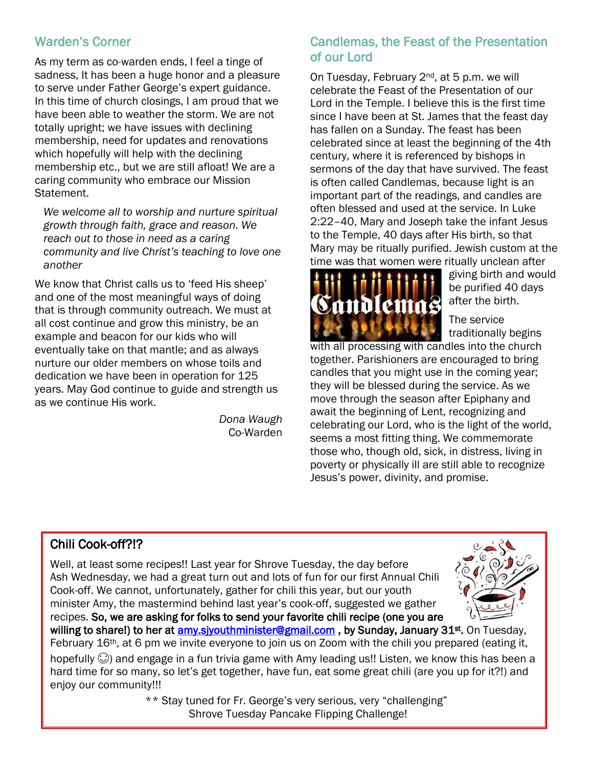## Warden's Corner

As my term as co-warden ends, I feel a tinge of sadness, It has been a huge honor and a pleasure to serve under Father George's expert guidance. In this time of church closings, I am proud that we have been able to weather the storm. We are not totally upright; we have issues with declining membership, need for updates and renovations which hopefully will help with the declining membership etc., but we are still afloat! We are a caring community who embrace our Mission Statement.

*We welcome all to worship and nurture spiritual growth through faith, grace and reason. We reach out to those in need as a caring community and live Christ's teaching to love one another* 

We know that Christ calls us to 'feed His sheep' and one of the most meaningful ways of doing that is through community outreach. We must at all cost continue and grow this ministry, be an example and beacon for our kids who will eventually take on that mantle; and as always nurture our older members on whose toils and dedication we have been in operation for 125 years. May God continue to guide and strength us as we continue His work.

> *Dona Waugh* Co-Warden

## Candlemas, the Feast of the Presentation of our Lord

On Tuesday, February 2nd, at 5 p.m. we will celebrate the Feast of the Presentation of our Lord in the Temple. I believe this is the first time since I have been at St. James that the feast day has fallen on a Sunday. The feast has been celebrated since at least the beginning of the 4th century, where it is referenced by bishops in sermons of the day that have survived. The feast is often called Candlemas, because light is an important part of the readings, and candles are often blessed and used at the service. In Luke 2:22–40, Mary and Joseph take the infant Jesus to the Temple, 40 days after His birth, so that Mary may be ritually purified. Jewish custom at the time was that women were ritually unclean after



giving birth and would be purified 40 days after the birth.

The service traditionally begins

with all processing with candles into the church together. Parishioners are encouraged to bring candles that you might use in the coming year; they will be blessed during the service. As we move through the season after Epiphany and await the beginning of Lent, recognizing and celebrating our Lord, who is the light of the world, seems a most fitting thing. We commemorate those who, though old, sick, in distress, living in poverty or physically ill are still able to recognize Jesus's power, divinity, and promise.

# Chili Cook-off?!?

Well, at least some recipes!! Last year for Shrove Tuesday, the day before Ash Wednesday, we had a great turn out and lots of fun for our first Annual Chili Cook-off. We cannot, unfortunately, gather for chili this year, but our youth minister Amy, the mastermind behind last year's cook-off, suggested we gather recipes. So, we are asking for folks to send your favorite chili recipe (one you are



willing to share!) to her at **amy.siyouthminister@gmail.com**, by Sunday, January 31st. On Tuesday, February 16<sup>th</sup>, at 6 pm we invite everyone to join us on Zoom with the chili you prepared (eating it, hopefully  $\odot$ ) and engage in a fun trivia game with Amy leading us!! Listen, we know this has been a hard time for so many, so let's get together, have fun, eat some great chili (are you up for it?!) and enjoy our community!!!

> \*\* Stay tuned for Fr. George's very serious, very "challenging" Shrove Tuesday Pancake Flipping Challenge!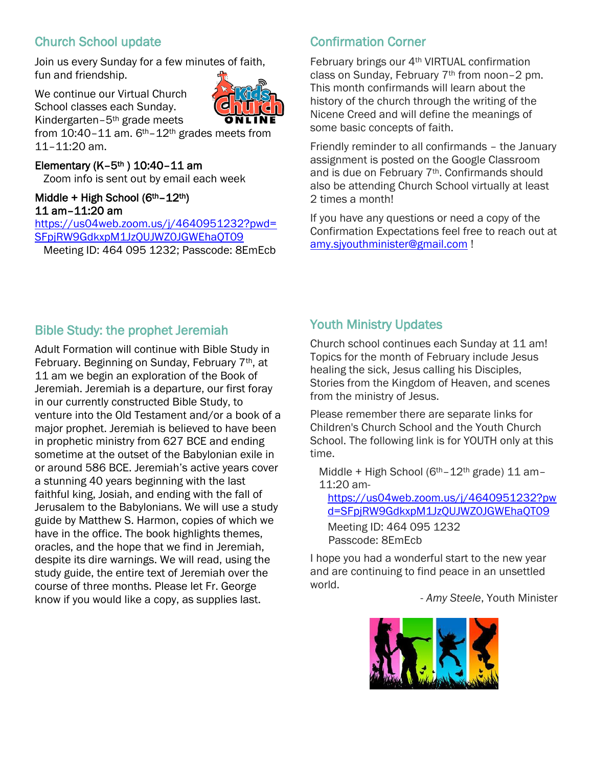# Church School update

Join us every Sunday for a few minutes of faith, fun and friendship.

We continue our Virtual Church School classes each Sunday. Kindergarten–5th grade meets from 10:40-11 am. 6<sup>th</sup>-12<sup>th</sup> grades meets from 11–11:20 am.

#### Elementary  $(K-5<sup>th</sup>) 10:40-11$  am

Zoom info is sent out by email each week

## Middle + High School (6th–12th) 11 am–11:20 am

[https://us04web.zoom.us/j/4640951232?pwd=](https://us04web.zoom.us/j/4640951232?pwd=SFpjRW9GdkxpM1JzQUJWZ0JGWEhaQT09) [SFpjRW9GdkxpM1JzQUJWZ0JGWEhaQT09](https://us04web.zoom.us/j/4640951232?pwd=SFpjRW9GdkxpM1JzQUJWZ0JGWEhaQT09) Meeting ID: 464 095 1232; Passcode: 8EmEcb

# Confirmation Corner

February brings our 4th VIRTUAL confirmation class on Sunday, February 7<sup>th</sup> from noon-2 pm. This month confirmands will learn about the history of the church through the writing of the Nicene Creed and will define the meanings of some basic concepts of faith.

Friendly reminder to all confirmands – the January assignment is posted on the Google Classroom and is due on February 7th. Confirmands should also be attending Church School virtually at least 2 times a month!

If you have any questions or need a copy of the Confirmation Expectations feel free to reach out at [amy.sjyouthminister@gmail.com](mailto:amy.sjyouthminister@gmail.com) !

# Bible Study: the prophet Jeremiah

Adult Formation will continue with Bible Study in February. Beginning on Sunday, February 7th, at 11 am we begin an exploration of the Book of Jeremiah. Jeremiah is a departure, our first foray in our currently constructed Bible Study, to venture into the Old Testament and/or a book of a major prophet. Jeremiah is believed to have been in prophetic ministry from 627 BCE and ending sometime at the outset of the Babylonian exile in or around 586 BCE. Jeremiah's active years cover a stunning 40 years beginning with the last faithful king, Josiah, and ending with the fall of Jerusalem to the Babylonians. We will use a study guide by Matthew S. Harmon, copies of which we have in the office. The book highlights themes, oracles, and the hope that we find in Jeremiah, despite its dire warnings. We will read, using the study guide, the entire text of Jeremiah over the course of three months. Please let Fr. George know if you would like a copy, as supplies last.

# Youth Ministry Updates

Church school continues each Sunday at 11 am! Topics for the month of February include Jesus healing the sick, Jesus calling his Disciples, Stories from the Kingdom of Heaven, and scenes from the ministry of Jesus.

Please remember there are separate links for Children's Church School and the Youth Church School. The following link is for YOUTH only at this time.

Middle + High School ( $6<sup>th</sup> - 12<sup>th</sup>$  grade) 11 am-11:20 am-

[https://us04web.zoom.us/j/4640951232?pw](https://us04web.zoom.us/j/4640951232?pwd=SFpjRW9GdkxpM1JzQUJWZ0JGWEhaQT09) [d=SFpjRW9GdkxpM1JzQUJWZ0JGWEhaQT09](https://us04web.zoom.us/j/4640951232?pwd=SFpjRW9GdkxpM1JzQUJWZ0JGWEhaQT09)

Meeting ID: 464 095 1232 Passcode: 8EmEcb

I hope you had a wonderful start to the new year and are continuing to find peace in an unsettled world.

- *Amy Steele*, Youth Minister

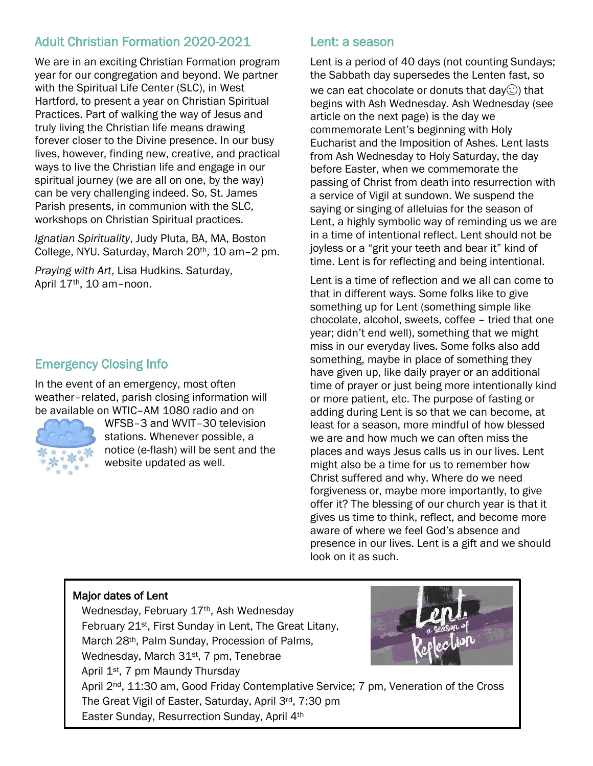# Adult Christian Formation 2020-2021

We are in an exciting Christian Formation program year for our congregation and beyond. We partner with the Spiritual Life Center (SLC), in West Hartford, to present a year on Christian Spiritual Practices. Part of walking the way of Jesus and truly living the Christian life means drawing forever closer to the Divine presence. In our busy lives, however, finding new, creative, and practical ways to live the Christian life and engage in our spiritual journey (we are all on one, by the way) can be very challenging indeed. So, St. James Parish presents, in communion with the SLC, workshops on Christian Spiritual practices.

*Ignatian Spirituality*, Judy Pluta, BA, MA, Boston College, NYU. Saturday, March 20th, 10 am–2 pm.

*Praying with Art*, Lisa Hudkins. Saturday, April 17th, 10 am–noon.

# Emergency Closing Info

In the event of an emergency, most often weather–related, parish closing information will be available on WTIC–AM 1080 radio and on



WFSB–3 and WVIT–30 television stations. Whenever possible, a notice (e-flash) will be sent and the website updated as well.

## Lent: a season

Lent is a period of 40 days (not counting Sundays; the Sabbath day supersedes the Lenten fast, so

we can eat chocolate or donuts that day $\odot$ ) that begins with Ash Wednesday. Ash Wednesday (see article on the next page) is the day we commemorate Lent's beginning with Holy Eucharist and the Imposition of Ashes. Lent lasts from Ash Wednesday to Holy Saturday, the day before Easter, when we commemorate the passing of Christ from death into resurrection with a service of Vigil at sundown. We suspend the saying or singing of alleluias for the season of Lent, a highly symbolic way of reminding us we are in a time of intentional reflect. Lent should not be joyless or a "grit your teeth and bear it" kind of time. Lent is for reflecting and being intentional.

Lent is a time of reflection and we all can come to that in different ways. Some folks like to give something up for Lent (something simple like chocolate, alcohol, sweets, coffee – tried that one year; didn't end well), something that we might miss in our everyday lives. Some folks also add something, maybe in place of something they have given up, like daily prayer or an additional time of prayer or just being more intentionally kind or more patient, etc. The purpose of fasting or adding during Lent is so that we can become, at least for a season, more mindful of how blessed we are and how much we can often miss the places and ways Jesus calls us in our lives. Lent might also be a time for us to remember how Christ suffered and why. Where do we need forgiveness or, maybe more importantly, to give offer it? The blessing of our church year is that it gives us time to think, reflect, and become more aware of where we feel God's absence and presence in our lives. Lent is a gift and we should look on it as such.

#### Major dates of Lent

Wednesday, February 17th, Ash Wednesday February 21<sup>st</sup>, First Sunday in Lent, The Great Litany, March 28th, Palm Sunday, Procession of Palms, Wednesday, March 31<sup>st</sup>, 7 pm, Tenebrae April 1<sup>st</sup>, 7 pm Maundy Thursday April 2<sup>nd</sup>, 11:30 am, Good Friday Contemplative Service; 7 pm, Veneration of the Cross The Great Vigil of Easter, Saturday, April 3rd, 7:30 pm Easter Sunday, Resurrection Sunday, April 4th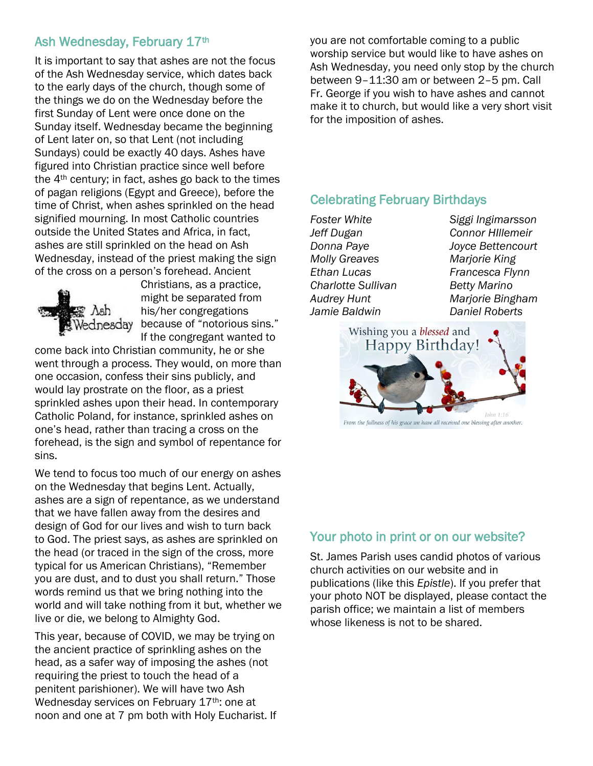## Ash Wednesday, February 17th

It is important to say that ashes are not the focus of the Ash Wednesday service, which dates back to the early days of the church, though some of the things we do on the Wednesday before the first Sunday of Lent were once done on the Sunday itself. Wednesday became the beginning of Lent later on, so that Lent (not including Sundays) could be exactly 40 days. Ashes have figured into Christian practice since well before the 4th century; in fact, ashes go back to the times of pagan religions (Egypt and Greece), before the time of Christ, when ashes sprinkled on the head signified mourning. In most Catholic countries outside the United States and Africa, in fact, ashes are still sprinkled on the head on Ash Wednesday, instead of the priest making the sign of the cross on a person's forehead. Ancient



Christians, as a practice, might be separated from his/her congregations because of "notorious sins." If the congregant wanted to

come back into Christian community, he or she went through a process. They would, on more than one occasion, confess their sins publicly, and would lay prostrate on the floor, as a priest sprinkled ashes upon their head. In contemporary Catholic Poland, for instance, sprinkled ashes on one's head, rather than tracing a cross on the forehead, is the sign and symbol of repentance for sins.

We tend to focus too much of our energy on ashes on the Wednesday that begins Lent. Actually, ashes are a sign of repentance, as we understand that we have fallen away from the desires and design of God for our lives and wish to turn back to God. The priest says, as ashes are sprinkled on the head (or traced in the sign of the cross, more typical for us American Christians), "Remember you are dust, and to dust you shall return." Those words remind us that we bring nothing into the world and will take nothing from it but, whether we live or die, we belong to Almighty God.

This year, because of COVID, we may be trying on the ancient practice of sprinkling ashes on the head, as a safer way of imposing the ashes (not requiring the priest to touch the head of a penitent parishioner). We will have two Ash Wednesday services on February 17th: one at noon and one at 7 pm both with Holy Eucharist. If you are not comfortable coming to a public worship service but would like to have ashes on Ash Wednesday, you need only stop by the church between 9–11:30 am or between 2–5 pm. Call Fr. George if you wish to have ashes and cannot make it to church, but would like a very short visit for the imposition of ashes.

## Celebrating February Birthdays

*Foster White Siggi Ingimarsson Jeff Dugan Connor HIllemeir Donna Paye Joyce Bettencourt Molly Greaves Marjorie King Ethan Lucas Francesca Flynn Charlotte Sullivan Betty Marino Audrey Hunt Marjorie Bingham Jamie Baldwin Daniel Roberts*



#### Your photo in print or on our website?

St. James Parish uses candid photos of various church activities on our website and in publications (like this *Epistle*). If you prefer that your photo NOT be displayed, please contact the parish office; we maintain a list of members whose likeness is not to be shared.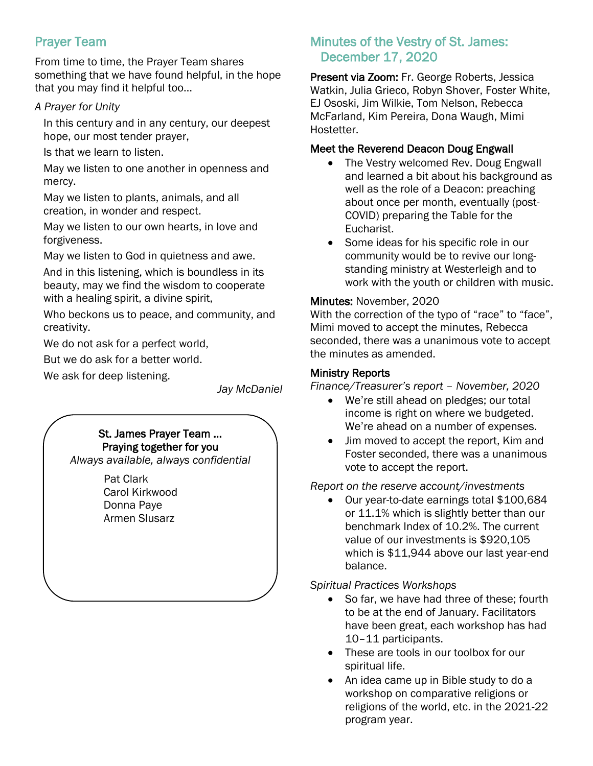# Prayer Team

From time to time, the Prayer Team shares something that we have found helpful, in the hope that you may find it helpful too…

## *A Prayer for Unity*

In this century and in any century, our deepest hope, our most tender prayer,

Is that we learn to listen.

May we listen to one another in openness and mercy.

May we listen to plants, animals, and all creation, in wonder and respect.

May we listen to our own hearts, in love and forgiveness.

May we listen to God in quietness and awe.

And in this listening, which is boundless in its beauty, may we find the wisdom to cooperate with a healing spirit, a divine spirit,

Who beckons us to peace, and community, and creativity.

We do not ask for a perfect world,

But we do ask for a better world.

We ask for deep listening.

*Jay McDaniel*

## St. James Prayer Team … Praying together for you

*Always available, always confidential*

Pat Clark Carol Kirkwood Donna Paye Armen Slusarz

## Minutes of the Vestry of St. James: December 17, 2020

Present via Zoom: Fr. George Roberts, Jessica Watkin, Julia Grieco, Robyn Shover, Foster White, EJ Ososki, Jim Wilkie, Tom Nelson, Rebecca McFarland, Kim Pereira, Dona Waugh, Mimi Hostetter.

## Meet the Reverend Deacon Doug Engwall

- The Vestry welcomed Rev. Doug Engwall and learned a bit about his background as well as the role of a Deacon: preaching about once per month, eventually (post-COVID) preparing the Table for the Eucharist.
- Some ideas for his specific role in our community would be to revive our longstanding ministry at Westerleigh and to work with the youth or children with music.

## Minutes: November, 2020

With the correction of the typo of "race" to "face", Mimi moved to accept the minutes, Rebecca seconded, there was a unanimous vote to accept the minutes as amended.

## Ministry Reports

*Finance/Treasurer's report – November, 2020*

- We're still ahead on pledges; our total income is right on where we budgeted. We're ahead on a number of expenses.
- Jim moved to accept the report, Kim and Foster seconded, there was a unanimous vote to accept the report.

#### *Report on the reserve account/investments*

 Our year-to-date earnings total \$100,684 or 11.1% which is slightly better than our benchmark Index of 10.2%. The current value of our investments is \$920,105 which is \$11,944 above our last year-end balance.

*Spiritual Practices Workshops*

- So far, we have had three of these; fourth to be at the end of January. Facilitators have been great, each workshop has had 10–11 participants.
- These are tools in our toolbox for our spiritual life.
- An idea came up in Bible study to do a workshop on comparative religions or religions of the world, etc. in the 2021-22 program year.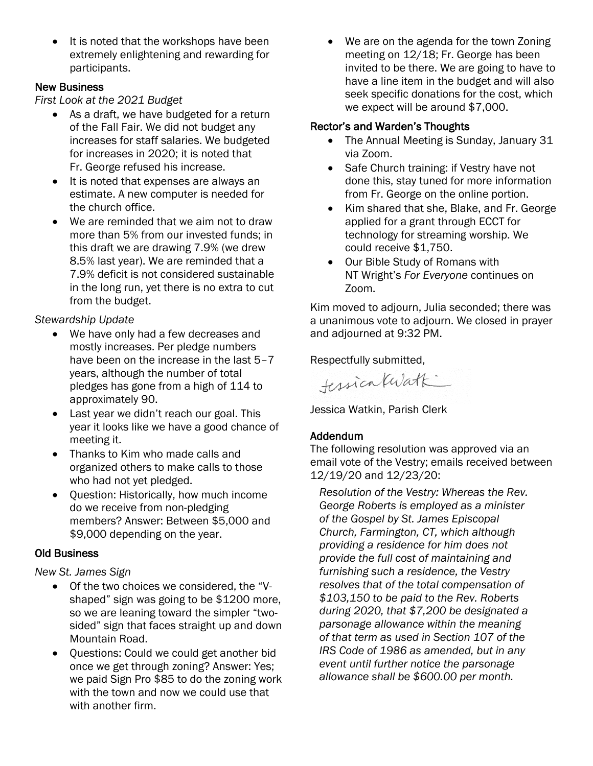It is noted that the workshops have been extremely enlightening and rewarding for participants.

#### New Business

*First Look at the 2021 Budget*

- As a draft, we have budgeted for a return of the Fall Fair. We did not budget any increases for staff salaries. We budgeted for increases in 2020; it is noted that Fr. George refused his increase.
- It is noted that expenses are always an estimate. A new computer is needed for the church office.
- We are reminded that we aim not to draw more than 5% from our invested funds; in this draft we are drawing 7.9% (we drew 8.5% last year). We are reminded that a 7.9% deficit is not considered sustainable in the long run, yet there is no extra to cut from the budget.

## *Stewardship Update*

- We have only had a few decreases and mostly increases. Per pledge numbers have been on the increase in the last 5-7 years, although the number of total pledges has gone from a high of 114 to approximately 90.
- Last year we didn't reach our goal. This year it looks like we have a good chance of meeting it.
- Thanks to Kim who made calls and organized others to make calls to those who had not yet pledged.
- Ouestion: Historically, how much income do we receive from non-pledging members? Answer: Between \$5,000 and \$9,000 depending on the year.

#### Old Business

*New St. James Sign*

- Of the two choices we considered, the "Vshaped" sign was going to be \$1200 more, so we are leaning toward the simpler "twosided" sign that faces straight up and down Mountain Road.
- Questions: Could we could get another bid once we get through zoning? Answer: Yes; we paid Sign Pro \$85 to do the zoning work with the town and now we could use that with another firm.

 We are on the agenda for the town Zoning meeting on 12/18; Fr. George has been invited to be there. We are going to have to have a line item in the budget and will also seek specific donations for the cost, which we expect will be around \$7,000.

## Rector's and Warden's Thoughts

- The Annual Meeting is Sunday, January 31 via Zoom.
- Safe Church training: if Vestry have not done this, stay tuned for more information from Fr. George on the online portion.
- Kim shared that she, Blake, and Fr. George applied for a grant through ECCT for technology for streaming worship. We could receive \$1,750.
- Our Bible Study of Romans with NT Wright's *For Everyone* continues on Zoom.

Kim moved to adjourn, Julia seconded; there was a unanimous vote to adjourn. We closed in prayer and adjourned at 9:32 PM.

Respectfully submitted,

tession Kwatk

Jessica Watkin, Parish Clerk

## Addendum

The following resolution was approved via an email vote of the Vestry; emails received between 12/19/20 and 12/23/20:

*Resolution of the Vestry: Whereas the Rev. George Roberts is employed as a minister of the Gospel by St. James Episcopal Church, Farmington, CT, which although providing a residence for him does not provide the full cost of maintaining and furnishing such a residence, the Vestry resolves that of the total compensation of \$103,150 to be paid to the Rev. Roberts during 2020, that \$7,200 be designated a parsonage allowance within the meaning of that term as used in Section 107 of the IRS Code of 1986 as amended, but in any event until further notice the parsonage allowance shall be \$600.00 per month.*